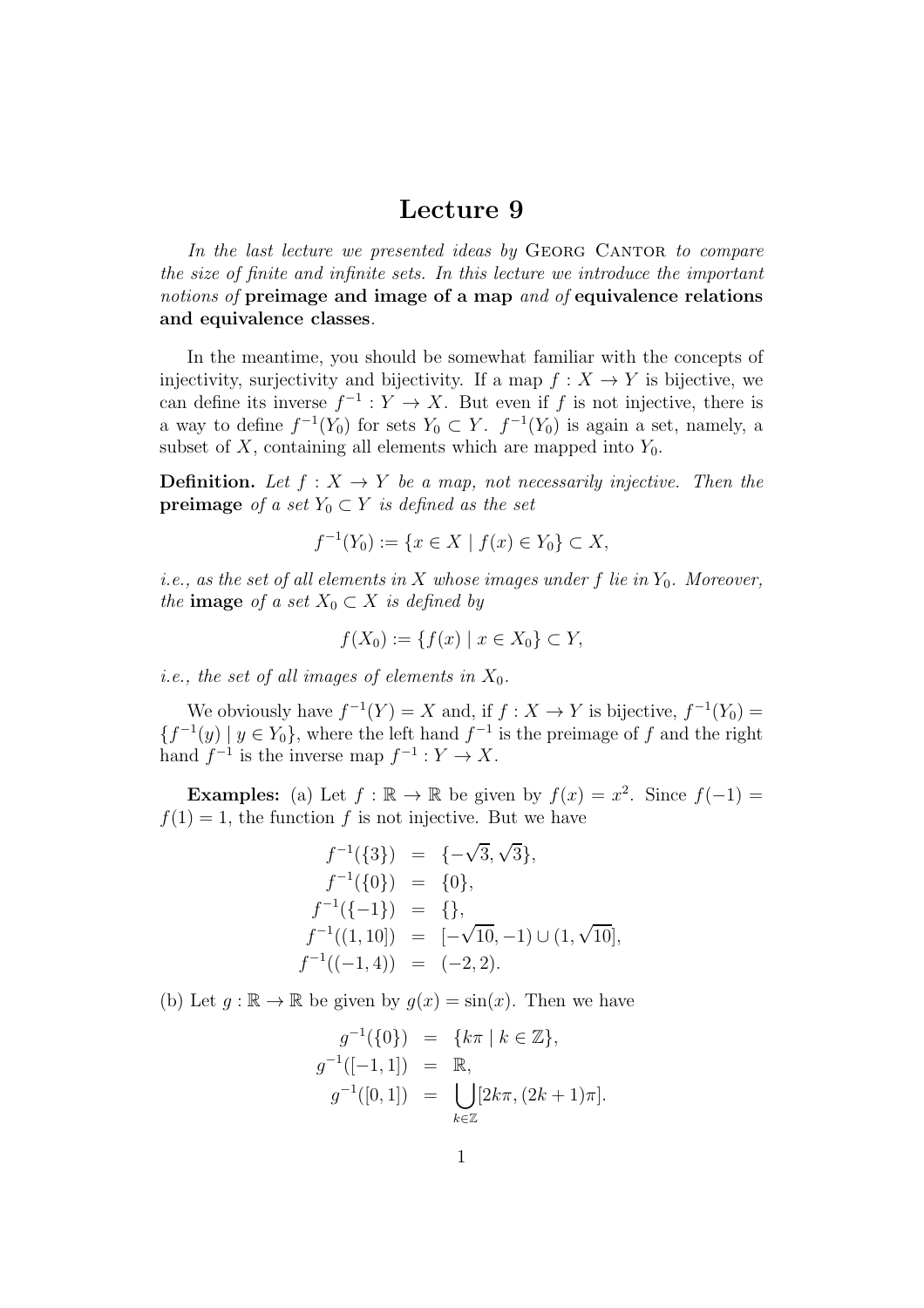## Lecture 9

In the last lecture we presented ideas by GEORG CANTOR to compare *the size of finite and infinite sets. In this lecture we introduce the important notions of* preimage and image of a map *and of* equivalence relations and equivalence classes*.*

In the meantime, you should be somewhat familiar with the concepts of injectivity, surjectivity and bijectivity. If a map  $f : X \to Y$  is bijective, we can define its inverse  $f^{-1}: Y \to X$ . But even if f is not injective, there is a way to define  $f^{-1}(Y_0)$  for sets  $Y_0 \subset Y$ .  $f^{-1}(Y_0)$  is again a set, namely, a subset of  $X$ , containing all elements which are mapped into  $Y_0$ .

**Definition.** Let  $f: X \to Y$  be a map, not necessarily injective. Then the **preimage** *of a set*  $Y_0 \subset Y$  *is defined as the set* 

$$
f^{-1}(Y_0) := \{ x \in X \mid f(x) \in Y_0 \} \subset X,
$$

*i.e., as the set of all elements in* X *whose images under* f *lie in*  $Y_0$ *. Moreover, the* image *of a set*  $X_0 \subset X$  *is defined by* 

$$
f(X_0) := \{ f(x) \mid x \in X_0 \} \subset Y,
$$

*i.e., the set of all images of elements in*  $X_0$ .

We obviously have  $f^{-1}(Y) = X$  and, if  $f : X \to Y$  is bijective,  $f^{-1}(Y_0) =$  ${f^{-1}(y) \mid y \in Y_0}$ , where the left hand  $f^{-1}$  is the preimage of f and the right hand  $f^{-1}$  is the inverse map  $f^{-1}: Y \to X$ .

**Examples:** (a) Let  $f : \mathbb{R} \to \mathbb{R}$  be given by  $f(x) = x^2$ . Since  $f(-1) =$  $f(1) = 1$ , the function f is not injective. But we have

$$
f^{-1}(\{3\}) = \{-\sqrt{3}, \sqrt{3}\},
$$
  
\n
$$
f^{-1}(\{0\}) = \{0\},
$$
  
\n
$$
f^{-1}(\{-1\}) = \{\},
$$
  
\n
$$
f^{-1}((1, 10]) = [-\sqrt{10}, -1) \cup (1, \sqrt{10}],
$$
  
\n
$$
f^{-1}((-1, 4)) = (-2, 2).
$$

(b) Let  $q : \mathbb{R} \to \mathbb{R}$  be given by  $q(x) = \sin(x)$ . Then we have

$$
g^{-1}(\{0\}) = \{k\pi \mid k \in \mathbb{Z}\},
$$
  
\n
$$
g^{-1}([-1, 1]) = \mathbb{R},
$$
  
\n
$$
g^{-1}([0, 1]) = \bigcup_{k \in \mathbb{Z}} [2k\pi, (2k + 1)\pi].
$$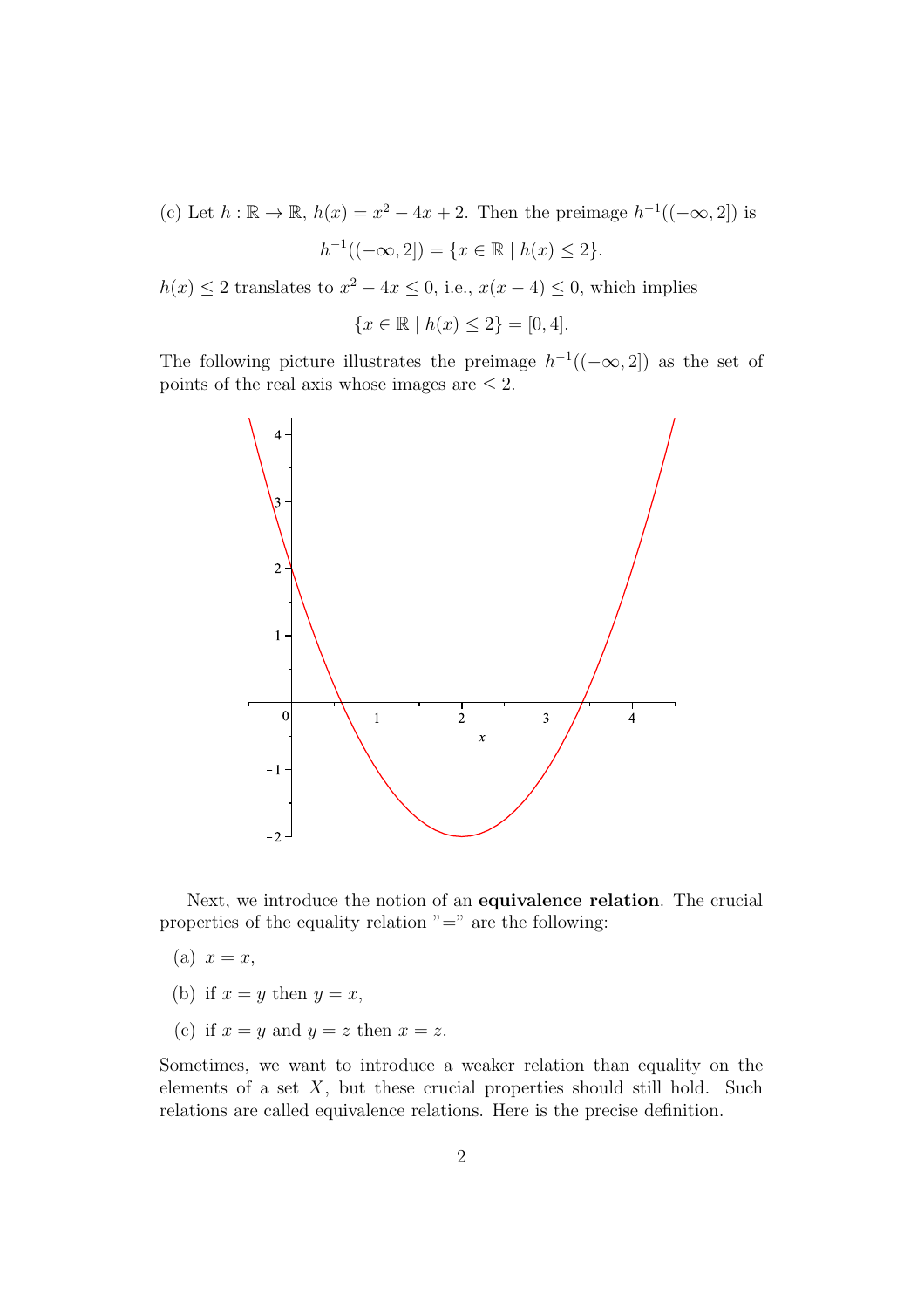(c) Let  $h : \mathbb{R} \to \mathbb{R}$ ,  $h(x) = x^2 - 4x + 2$ . Then the preimage  $h^{-1}((-\infty, 2])$  is  $h^{-1}((-\infty, 2]) = \{x \in \mathbb{R} \mid h(x) \leq 2\}.$ 

 $h(x) \le 2$  translates to  $x^2 - 4x \le 0$ , i.e.,  $x(x - 4) \le 0$ , which implies

$$
\{x \in \mathbb{R} \mid h(x) \le 2\} = [0, 4].
$$

The following picture illustrates the preimage  $h^{-1}((-\infty, 2])$  as the set of points of the real axis whose images are  $\leq 2$ .



Next, we introduce the notion of an equivalence relation. The crucial properties of the equality relation  $"="$  are the following:

- (a)  $x = x$ ,
- (b) if  $x = y$  then  $y = x$ ,
- (c) if  $x = y$  and  $y = z$  then  $x = z$ .

Sometimes, we want to introduce a weaker relation than equality on the elements of a set  $X$ , but these crucial properties should still hold. Such relations are called equivalence relations. Here is the precise definition.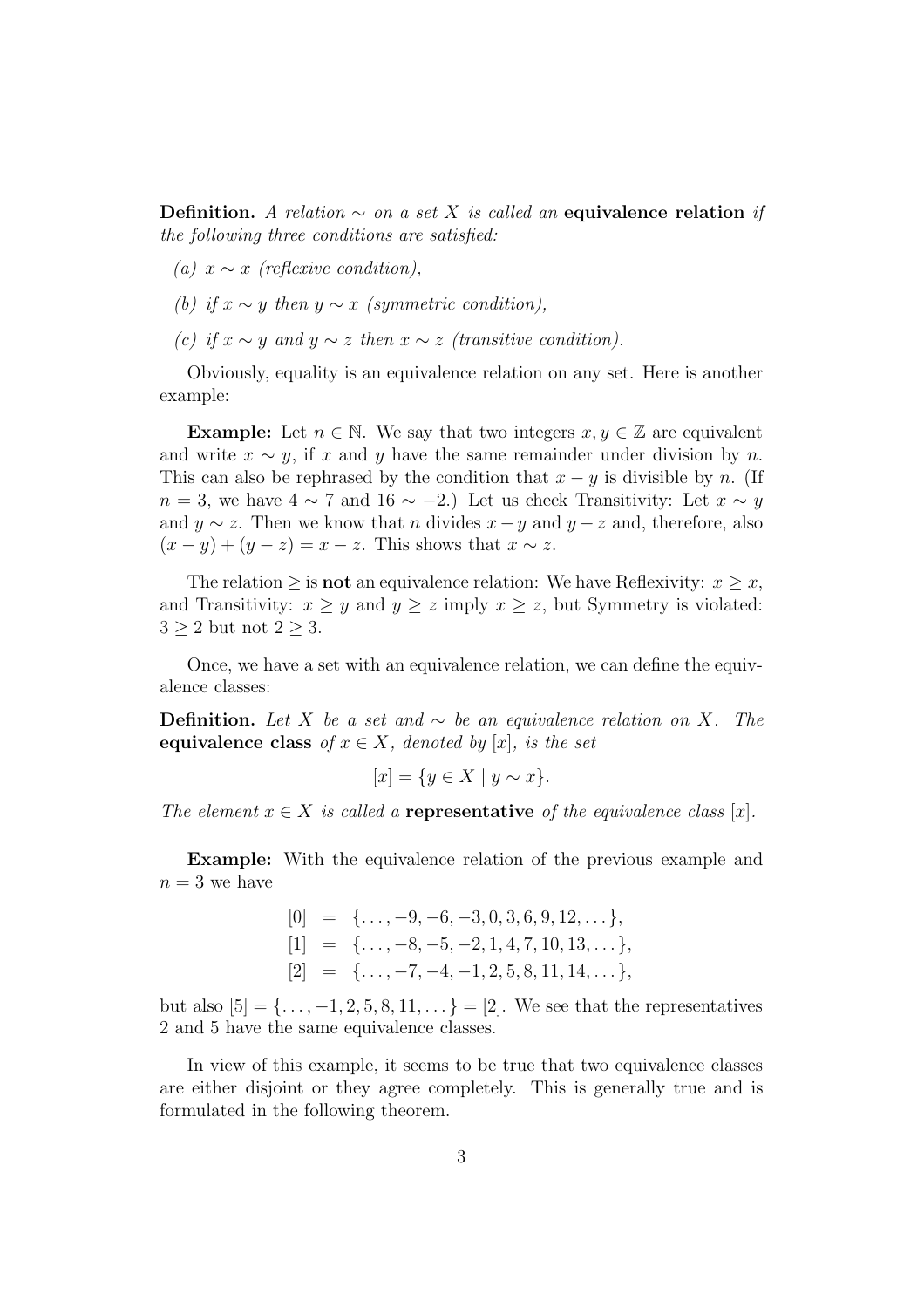Definition. *A relation* ∼ *on a set* X *is called an* equivalence relation *if the following three conditions are satisfied:*

- *(a)*  $x ∼ x$  *(reflexive condition)*,
- *(b) if*  $x \sim y$  *then*  $y \sim x$  *(symmetric condition)*,
- *(c) if*  $x \sim y$  *and*  $y \sim z$  *then*  $x \sim z$  *(transitive condition).*

Obviously, equality is an equivalence relation on any set. Here is another example:

**Example:** Let  $n \in \mathbb{N}$ . We say that two integers  $x, y \in \mathbb{Z}$  are equivalent and write  $x \sim y$ , if x and y have the same remainder under division by n. This can also be rephrased by the condition that  $x - y$  is divisible by n. (If  $n = 3$ , we have  $4 \sim 7$  and  $16 \sim -2$ .) Let us check Transitivity: Let  $x \sim y$ and  $y \sim z$ . Then we know that *n* divides  $x - y$  and  $y - z$  and, therefore, also  $(x - y) + (y - z) = x - z$ . This shows that  $x \sim z$ .

The relation  $\geq$  is **not** an equivalence relation: We have Reflexivity:  $x \geq x$ , and Transitivity:  $x \geq y$  and  $y \geq z$  imply  $x \geq z$ , but Symmetry is violated:  $3 \geq 2$  but not  $2 \geq 3$ .

Once, we have a set with an equivalence relation, we can define the equivalence classes:

**Definition.** Let *X* be a set and  $\sim$  be an equivalence relation on *X*. The equivalence class of  $x \in X$ *, denoted by* [x]*, is the set* 

$$
[x] = \{ y \in X \mid y \sim x \}.
$$

*The element*  $x \in X$  *is called a* **representative** *of the equivalence class* [x].

Example: With the equivalence relation of the previous example and  $n=3$  we have

> $[0] = \{ \ldots, -9, -6, -3, 0, 3, 6, 9, 12, \ldots \},\$  $[1] = \{ \ldots, -8, -5, -2, 1, 4, 7, 10, 13, \ldots \},\$  $[2] = \{ \ldots, -7, -4, -1, 2, 5, 8, 11, 14, \ldots \},\$

but also  $[5] = {\ldots, -1, 2, 5, 8, 11, \ldots} = [2]$ . We see that the representatives 2 and 5 have the same equivalence classes.

In view of this example, it seems to be true that two equivalence classes are either disjoint or they agree completely. This is generally true and is formulated in the following theorem.